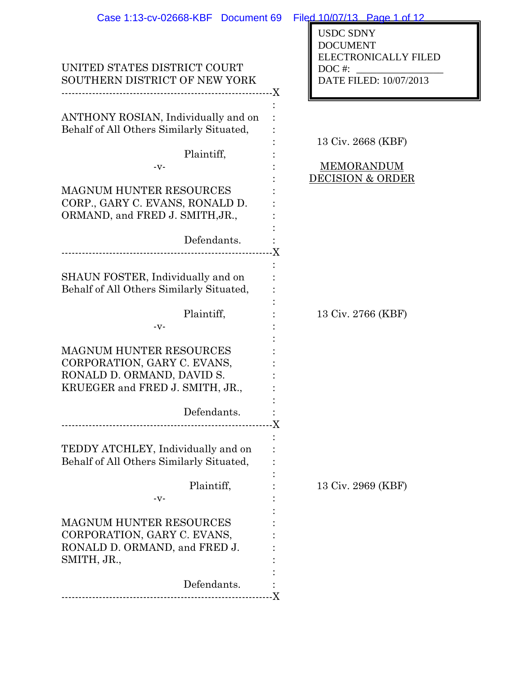| Case 1:13-cv-02668-KBF Document 69                                                                                                                                                                           | Filed 10/07/13 Page 1 of 12                                                                              |
|--------------------------------------------------------------------------------------------------------------------------------------------------------------------------------------------------------------|----------------------------------------------------------------------------------------------------------|
| UNITED STATES DISTRICT COURT<br>SOUTHERN DISTRICT OF NEW YORK                                                                                                                                                | <b>USDC SDNY</b><br><b>DOCUMENT</b><br><b>ELECTRONICALLY FILED</b><br>$DOC$ #:<br>DATE FILED: 10/07/2013 |
| ANTHONY ROSIAN, Individually and on<br>Behalf of All Others Similarly Situated,<br>Plaintiff,<br>-v-<br><b>MAGNUM HUNTER RESOURCES</b><br>CORP., GARY C. EVANS, RONALD D.<br>ORMAND, and FRED J. SMITH, JR., | 13 Civ. 2668 (KBF)<br><b>MEMORANDUM</b><br><b>DECISION &amp; ORDER</b>                                   |
| Defendants.<br>--------------------------------                                                                                                                                                              |                                                                                                          |
| SHAUN FOSTER, Individually and on<br>Behalf of All Others Similarly Situated,                                                                                                                                |                                                                                                          |
| Plaintiff,                                                                                                                                                                                                   | 13 Civ. 2766 (KBF)                                                                                       |
| $-V -$<br><b>MAGNUM HUNTER RESOURCES</b><br>CORPORATION, GARY C. EVANS,<br>RONALD D. ORMAND, DAVID S.<br>KRUEGER and FRED J. SMITH, JR<br>Defendants.                                                        |                                                                                                          |
| TEDDY ATCHLEY, Individually and on<br>Behalf of All Others Similarly Situated,                                                                                                                               |                                                                                                          |
| Plaintiff,<br>$-V -$                                                                                                                                                                                         | 13 Civ. 2969 (KBF)                                                                                       |
| <b>MAGNUM HUNTER RESOURCES</b><br>CORPORATION, GARY C. EVANS,<br>RONALD D. ORMAND, and FRED J.<br>SMITH, JR.,                                                                                                |                                                                                                          |
| Defendants.                                                                                                                                                                                                  |                                                                                                          |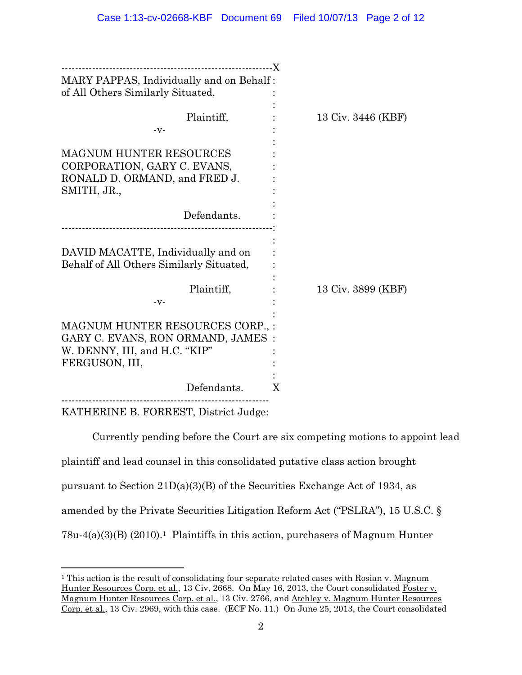| ---------------------------X             |   |                    |
|------------------------------------------|---|--------------------|
| MARY PAPPAS, Individually and on Behalf: |   |                    |
| of All Others Similarly Situated,        |   |                    |
|                                          |   |                    |
| Plaintiff,                               |   | 13 Civ. 3446 (KBF) |
| $-V -$                                   |   |                    |
|                                          |   |                    |
| <b>MAGNUM HUNTER RESOURCES</b>           |   |                    |
| CORPORATION, GARY C. EVANS,              |   |                    |
| RONALD D. ORMAND, and FRED J.            |   |                    |
| SMITH, JR.,                              |   |                    |
|                                          |   |                    |
| Defendants.                              |   |                    |
|                                          |   |                    |
|                                          |   |                    |
| DAVID MACATTE, Individually and on       |   |                    |
| Behalf of All Others Similarly Situated, |   |                    |
|                                          |   |                    |
| Plaintiff,                               |   | 13 Civ. 3899 (KBF) |
| $-V -$                                   |   |                    |
|                                          |   |                    |
| MAGNUM HUNTER RESOURCES CORP., :         |   |                    |
| GARY C. EVANS, RON ORMAND, JAMES :       |   |                    |
| W. DENNY, III, and H.C. "KIP"            |   |                    |
| FERGUSON, III,                           |   |                    |
| Defendants.                              | X |                    |
|                                          |   |                    |
| KATHERINE B. FORREST, District Judge:    |   |                    |

 Currently pending before the Court are six competing motions to appoint lead plaintiff and lead counsel in this consolidated putative class action brought pursuant to Section  $21D(a)(3)(B)$  of the Securities Exchange Act of 1934, as amended by the Private Securities Litigation Reform Act ("PSLRA"), 15 U.S.C. §  $78u-4(a)(3)(B)$  (2010).<sup>1</sup> Plaintiffs in this action, purchasers of Magnum Hunter

 $\overline{a}$ 

<sup>&</sup>lt;sup>1</sup> This action is the result of consolidating four separate related cases with Rosian v. Magnum Hunter Resources Corp. et al., 13 Civ. 2668. On May 16, 2013, the Court consolidated Foster v. Magnum Hunter Resources Corp. et al., 13 Civ. 2766, and Atchley v. Magnum Hunter Resources Corp. et al., 13 Civ. 2969, with this case. (ECF No. 11.) On June 25, 2013, the Court consolidated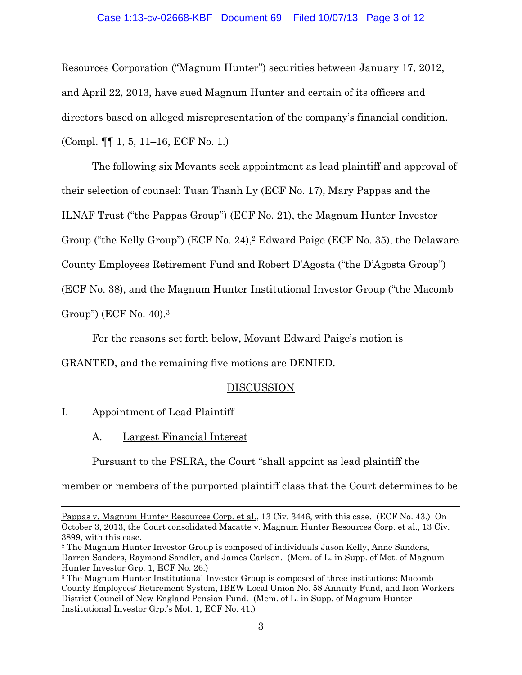### Case 1:13-cv-02668-KBF Document 69 Filed 10/07/13 Page 3 of 12

Resources Corporation ("Magnum Hunter") securities between January 17, 2012, and April 22, 2013, have sued Magnum Hunter and certain of its officers and directors based on alleged misrepresentation of the company's financial condition. (Compl. ¶¶ 1, 5, 11–16, ECF No. 1.)

 The following six Movants seek appointment as lead plaintiff and approval of their selection of counsel: Tuan Thanh Ly (ECF No. 17), Mary Pappas and the ILNAF Trust ("the Pappas Group") (ECF No. 21), the Magnum Hunter Investor Group ("the Kelly Group") (ECF No. 24),2 Edward Paige (ECF No. 35), the Delaware County Employees Retirement Fund and Robert D'Agosta ("the D'Agosta Group") (ECF No. 38), and the Magnum Hunter Institutional Investor Group ("the Macomb Group") (ECF No. 40).3

For the reasons set forth below, Movant Edward Paige's motion is

GRANTED, and the remaining five motions are DENIED.

## **DISCUSSION**

## I. Appointment of Lead Plaintiff

 $\overline{a}$ 

A. Largest Financial Interest

Pursuant to the PSLRA, the Court "shall appoint as lead plaintiff the

member or members of the purported plaintiff class that the Court determines to be

Pappas v. Magnum Hunter Resources Corp. et al., 13 Civ. 3446, with this case. (ECF No. 43.) On October 3, 2013, the Court consolidated Macatte v. Magnum Hunter Resources Corp. et al., 13 Civ. 3899, with this case.

<sup>2</sup> The Magnum Hunter Investor Group is composed of individuals Jason Kelly, Anne Sanders, Darren Sanders, Raymond Sandler, and James Carlson. (Mem. of L. in Supp. of Mot. of Magnum Hunter Investor Grp. 1, ECF No. 26.)

<sup>3</sup> The Magnum Hunter Institutional Investor Group is composed of three institutions: Macomb County Employees' Retirement System, IBEW Local Union No. 58 Annuity Fund, and Iron Workers District Council of New England Pension Fund. (Mem. of L. in Supp. of Magnum Hunter Institutional Investor Grp.'s Mot. 1, ECF No. 41.)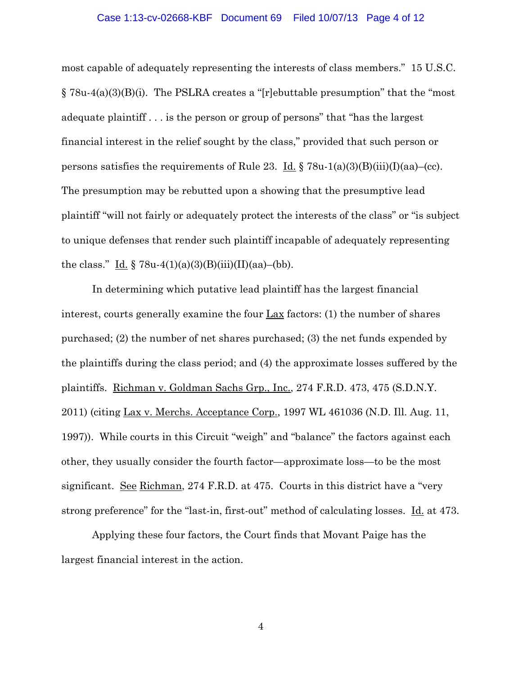#### Case 1:13-cv-02668-KBF Document 69 Filed 10/07/13 Page 4 of 12

most capable of adequately representing the interests of class members." 15 U.S.C.  $\S 78u-4(a)(3)(B)(i)$ . The PSLRA creates a "[r]ebuttable presumption" that the "most adequate plaintiff . . . is the person or group of persons" that "has the largest financial interest in the relief sought by the class," provided that such person or persons satisfies the requirements of Rule 23. Id.  $\S$  78u-1(a)(3)(B)(iii)(I)(aa)–(cc). The presumption may be rebutted upon a showing that the presumptive lead plaintiff "will not fairly or adequately protect the interests of the class" or "is subject to unique defenses that render such plaintiff incapable of adequately representing the class." Id.  $\S 78u-4(1)(a)(3)(B)(iii)(II)(aa)–(bb).$ 

In determining which putative lead plaintiff has the largest financial interest, courts generally examine the four Lax factors: (1) the number of shares purchased; (2) the number of net shares purchased; (3) the net funds expended by the plaintiffs during the class period; and (4) the approximate losses suffered by the plaintiffs. Richman v. Goldman Sachs Grp., Inc., 274 F.R.D. 473, 475 (S.D.N.Y. 2011) (citing Lax v. Merchs. Acceptance Corp., 1997 WL 461036 (N.D. Ill. Aug. 11, 1997)). While courts in this Circuit "weigh" and "balance" the factors against each other, they usually consider the fourth factor—approximate loss—to be the most significant. <u>See Richman</u>, 274 F.R.D. at 475. Courts in this district have a "very strong preference" for the "last-in, first-out" method of calculating losses. Id. at 473.

Applying these four factors, the Court finds that Movant Paige has the largest financial interest in the action.

4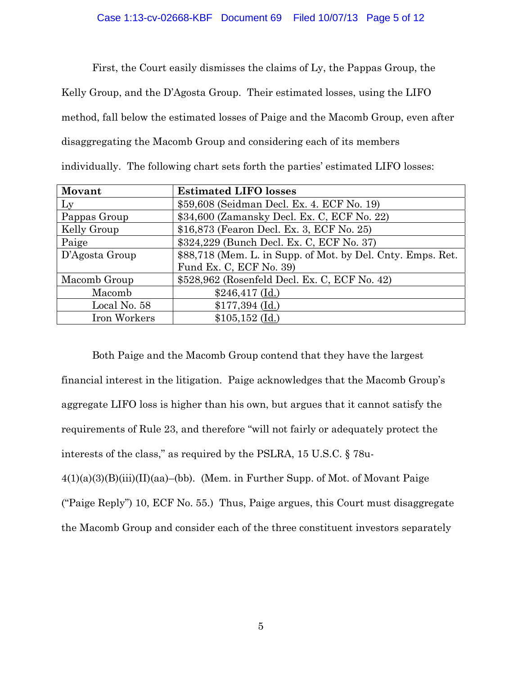First, the Court easily dismisses the claims of Ly, the Pappas Group, the Kelly Group, and the D'Agosta Group. Their estimated losses, using the LIFO method, fall below the estimated losses of Paige and the Macomb Group, even after disaggregating the Macomb Group and considering each of its members individually. The following chart sets forth the parties' estimated LIFO losses:

| Movant         | <b>Estimated LIFO losses</b>                                |
|----------------|-------------------------------------------------------------|
| Ly             | \$59,608 (Seidman Decl. Ex. 4. ECF No. 19)                  |
| Pappas Group   | \$34,600 (Zamansky Decl. Ex. C, ECF No. 22)                 |
| Kelly Group    | \$16,873 (Fearon Decl. Ex. 3, ECF No. 25)                   |
| Paige          | \$324,229 (Bunch Decl. Ex. C, ECF No. 37)                   |
| D'Agosta Group | \$88,718 (Mem. L. in Supp. of Mot. by Del. Cnty. Emps. Ret. |
|                | Fund Ex. C, ECF No. 39)                                     |
| Macomb Group   | \$528,962 (Rosenfeld Decl. Ex. C, ECF No. 42)               |
| Macomb         | $$246,417$ (Id.)                                            |
| Local No. 58   | $$177,394$ (Id.)                                            |
| Iron Workers   | $$105,152$ (Id.)                                            |

Both Paige and the Macomb Group contend that they have the largest financial interest in the litigation. Paige acknowledges that the Macomb Group's aggregate LIFO loss is higher than his own, but argues that it cannot satisfy the requirements of Rule 23, and therefore "will not fairly or adequately protect the interests of the class," as required by the PSLRA, 15 U.S.C. § 78u- $4(1)(a)(3)(B)(iii)(II)(aa)$ –(bb). (Mem. in Further Supp. of Mot. of Movant Paige

("Paige Reply") 10, ECF No. 55.) Thus, Paige argues, this Court must disaggregate

the Macomb Group and consider each of the three constituent investors separately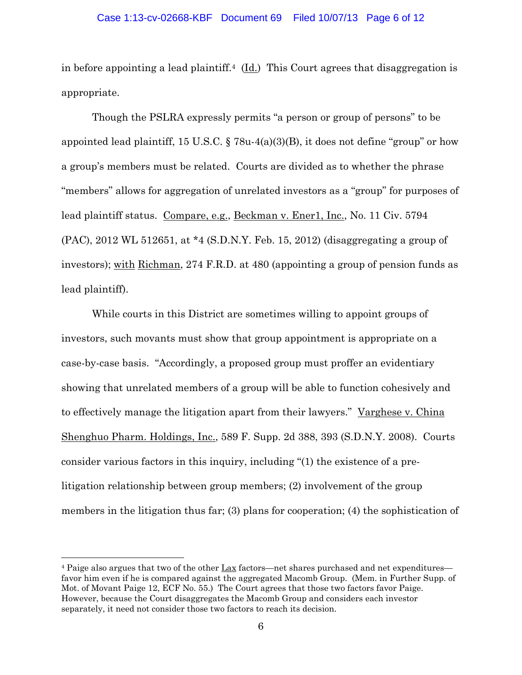#### Case 1:13-cv-02668-KBF Document 69 Filed 10/07/13 Page 6 of 12

in before appointing a lead plaintiff.<sup>4</sup> (Id.) This Court agrees that disaggregation is appropriate.

Though the PSLRA expressly permits "a person or group of persons" to be appointed lead plaintiff, 15 U.S.C. § 78u-4(a)(3)(B), it does not define "group" or how a group's members must be related. Courts are divided as to whether the phrase "members" allows for aggregation of unrelated investors as a "group" for purposes of lead plaintiff status. Compare, e.g., Beckman v. Ener1, Inc., No. 11 Civ. 5794 (PAC), 2012 WL 512651, at \*4 (S.D.N.Y. Feb. 15, 2012) (disaggregating a group of investors); with Richman, 274 F.R.D. at 480 (appointing a group of pension funds as lead plaintiff).

While courts in this District are sometimes willing to appoint groups of investors, such movants must show that group appointment is appropriate on a case-by-case basis. "Accordingly, a proposed group must proffer an evidentiary showing that unrelated members of a group will be able to function cohesively and to effectively manage the litigation apart from their lawyers." Varghese v. China Shenghuo Pharm. Holdings, Inc., 589 F. Supp. 2d 388, 393 (S.D.N.Y. 2008). Courts consider various factors in this inquiry, including "(1) the existence of a prelitigation relationship between group members; (2) involvement of the group members in the litigation thus far; (3) plans for cooperation; (4) the sophistication of

 $\overline{a}$ 

<sup>4</sup> Paige also argues that two of the other Lax factors—net shares purchased and net expenditures favor him even if he is compared against the aggregated Macomb Group. (Mem. in Further Supp. of Mot. of Movant Paige 12, ECF No. 55.) The Court agrees that those two factors favor Paige. However, because the Court disaggregates the Macomb Group and considers each investor separately, it need not consider those two factors to reach its decision.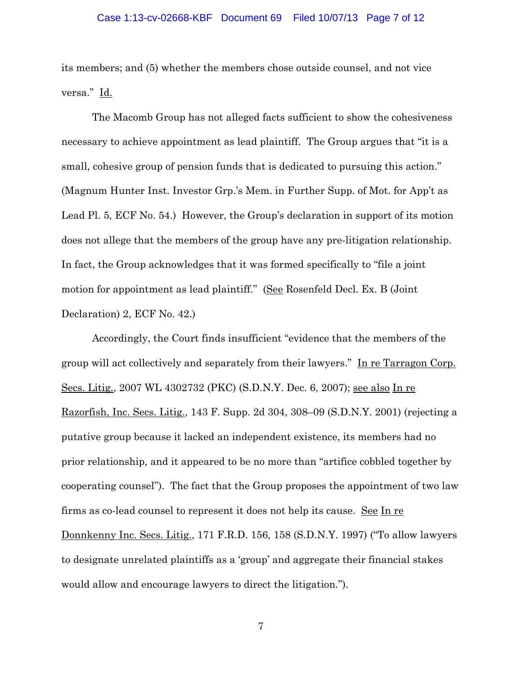# Case 1:13-cv-02668-KBF Document 69 Filed 10/07/13 Page 7 of 12

its members; and (5) whether the members chose outside counsel, and not vice versa." Id.

The Macomb Group has not alleged facts sufficient to show the cohesiveness necessary to achieve appointment as lead plaintiff. The Group argues that "it is a small, cohesive group of pension funds that is dedicated to pursuing this action." (Magnum Hunter Inst. Investor Grp.'s Mem. in Further Supp. of Mot. for App't as Lead Pl. 5, ECF No. 54.) However, the Group's declaration in support of its motion does not allege that the members of the group have any pre-litigation relationship. In fact, the Group acknowledges that it was formed specifically to "file a joint motion for appointment as lead plaintiff." (See Rosenfeld Decl. Ex. B (Joint Declaration) 2, ECF No. 42.)

Accordingly, the Court finds insufficient "evidence that the members of the group will act collectively and separately from their lawyers." In re Tarragon Corp. Secs. Litig., 2007 WL 4302732 (PKC) (S.D.N.Y. Dec. 6, 2007); see also In re Razorfish, Inc. Secs. Litig., 143 F. Supp. 2d 304, 308–09 (S.D.N.Y. 2001) (rejecting a putative group because it lacked an independent existence, its members had no prior relationship, and it appeared to be no more than "artifice cobbled together by cooperating counsel"). The fact that the Group proposes the appointment of two law firms as co-lead counsel to represent it does not help its cause. See In re Donnkenny Inc. Secs. Litig., 171 F.R.D. 156, 158 (S.D.N.Y. 1997) ("To allow lawyers to designate unrelated plaintiffs as a 'group' and aggregate their financial stakes would allow and encourage lawyers to direct the litigation.").

7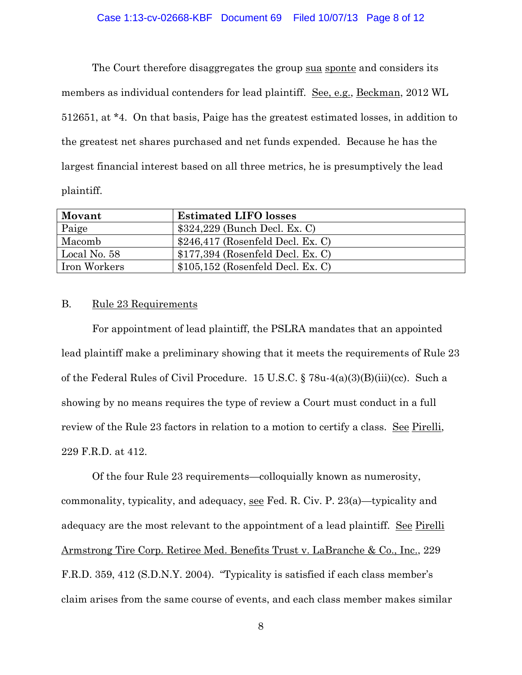### Case 1:13-cv-02668-KBF Document 69 Filed 10/07/13 Page 8 of 12

The Court therefore disaggregates the group sua sponte and considers its members as individual contenders for lead plaintiff. See, e.g., Beckman, 2012 WL 512651, at \*4. On that basis, Paige has the greatest estimated losses, in addition to the greatest net shares purchased and net funds expended. Because he has the largest financial interest based on all three metrics, he is presumptively the lead plaintiff.

| Movant              | <b>Estimated LIFO losses</b>       |
|---------------------|------------------------------------|
| Paige               | $$324,229$ (Bunch Decl. Ex. C)     |
| Macomb              | $$246,417$ (Rosenfeld Decl. Ex. C) |
| Local No. 58        | $$177,394$ (Rosenfeld Decl. Ex. C) |
| <b>Iron Workers</b> | $$105,152$ (Rosenfeld Decl. Ex. C) |

### B. Rule 23 Requirements

For appointment of lead plaintiff, the PSLRA mandates that an appointed lead plaintiff make a preliminary showing that it meets the requirements of Rule 23 of the Federal Rules of Civil Procedure. 15 U.S.C. § 78u-4(a)(3)(B)(iii)(cc). Such a showing by no means requires the type of review a Court must conduct in a full review of the Rule 23 factors in relation to a motion to certify a class. See Pirelli, 229 F.R.D. at 412.

Of the four Rule 23 requirements—colloquially known as numerosity, commonality, typicality, and adequacy, see Fed. R. Civ. P. 23(a)—typicality and adequacy are the most relevant to the appointment of a lead plaintiff. See Pirelli Armstrong Tire Corp. Retiree Med. Benefits Trust v. LaBranche & Co., Inc., 229 F.R.D. 359, 412 (S.D.N.Y. 2004). "Typicality is satisfied if each class member's claim arises from the same course of events, and each class member makes similar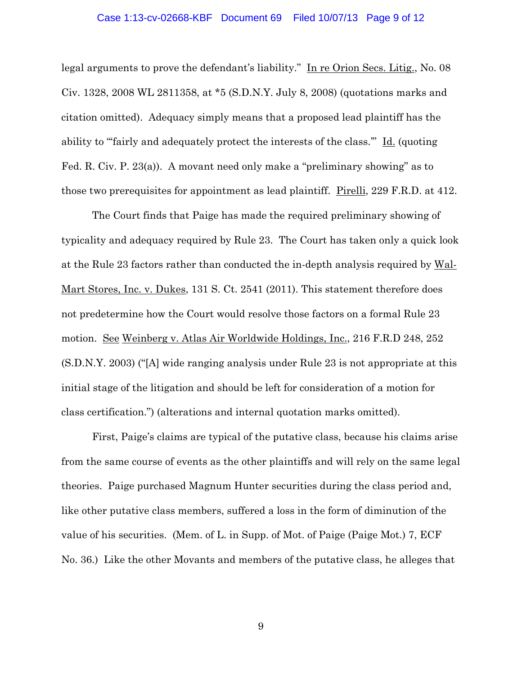### Case 1:13-cv-02668-KBF Document 69 Filed 10/07/13 Page 9 of 12

legal arguments to prove the defendant's liability." In re Orion Secs. Litig., No. 08 Civ. 1328, 2008 WL 2811358, at \*5 (S.D.N.Y. July 8, 2008) (quotations marks and citation omitted). Adequacy simply means that a proposed lead plaintiff has the ability to "fairly and adequately protect the interests of the class." Id. (quoting Fed. R. Civ. P. 23(a)). A movant need only make a "preliminary showing" as to those two prerequisites for appointment as lead plaintiff. Pirelli, 229 F.R.D. at 412.

The Court finds that Paige has made the required preliminary showing of typicality and adequacy required by Rule 23. The Court has taken only a quick look at the Rule 23 factors rather than conducted the in-depth analysis required by Wal-Mart Stores, Inc. v. Dukes, 131 S. Ct. 2541 (2011). This statement therefore does not predetermine how the Court would resolve those factors on a formal Rule 23 motion. See Weinberg v. Atlas Air Worldwide Holdings, Inc., 216 F.R.D 248, 252 (S.D.N.Y. 2003) ("[A] wide ranging analysis under Rule 23 is not appropriate at this initial stage of the litigation and should be left for consideration of a motion for class certification.") (alterations and internal quotation marks omitted).

First, Paige's claims are typical of the putative class, because his claims arise from the same course of events as the other plaintiffs and will rely on the same legal theories. Paige purchased Magnum Hunter securities during the class period and, like other putative class members, suffered a loss in the form of diminution of the value of his securities. (Mem. of L. in Supp. of Mot. of Paige (Paige Mot.) 7, ECF No. 36.) Like the other Movants and members of the putative class, he alleges that

9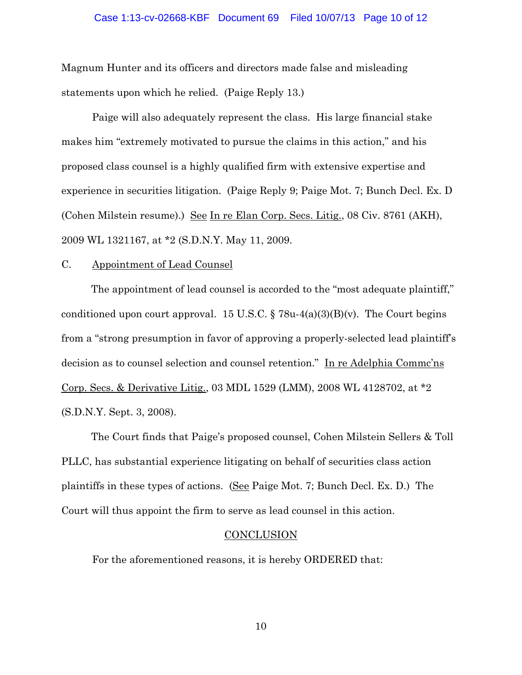Magnum Hunter and its officers and directors made false and misleading statements upon which he relied. (Paige Reply 13.)

Paige will also adequately represent the class. His large financial stake makes him "extremely motivated to pursue the claims in this action," and his proposed class counsel is a highly qualified firm with extensive expertise and experience in securities litigation. (Paige Reply 9; Paige Mot. 7; Bunch Decl. Ex. D (Cohen Milstein resume).) See In re Elan Corp. Secs. Litig., 08 Civ. 8761 (AKH), 2009 WL 1321167, at \*2 (S.D.N.Y. May 11, 2009.

#### C. Appointment of Lead Counsel

The appointment of lead counsel is accorded to the "most adequate plaintiff," conditioned upon court approval. 15 U.S.C.  $\S 78u-4(a)(3)(B)(v)$ . The Court begins from a "strong presumption in favor of approving a properly-selected lead plaintiff's decision as to counsel selection and counsel retention." In re Adelphia Commc'ns Corp. Secs. & Derivative Litig., 03 MDL 1529 (LMM), 2008 WL 4128702, at \*2 (S.D.N.Y. Sept. 3, 2008).

The Court finds that Paige's proposed counsel, Cohen Milstein Sellers & Toll PLLC, has substantial experience litigating on behalf of securities class action plaintiffs in these types of actions. (See Paige Mot. 7; Bunch Decl. Ex. D.) The Court will thus appoint the firm to serve as lead counsel in this action.

#### CONCLUSION

For the aforementioned reasons, it is hereby ORDERED that: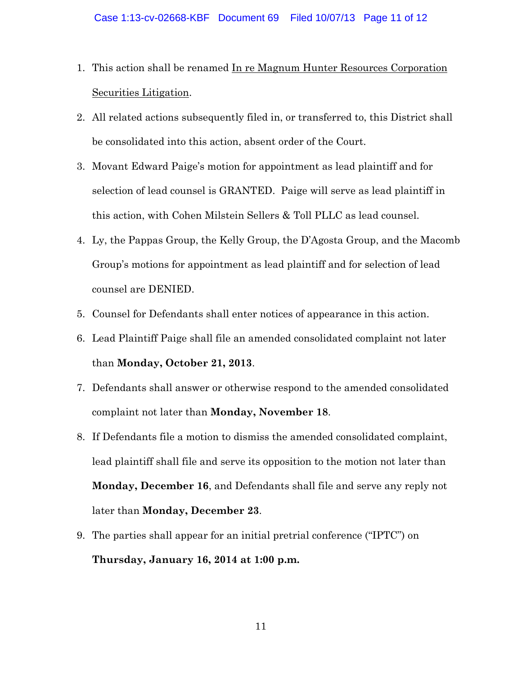- 1. This action shall be renamed In re Magnum Hunter Resources Corporation Securities Litigation.
- 2. All related actions subsequently filed in, or transferred to, this District shall be consolidated into this action, absent order of the Court.
- 3. Movant Edward Paige's motion for appointment as lead plaintiff and for selection of lead counsel is GRANTED. Paige will serve as lead plaintiff in this action, with Cohen Milstein Sellers & Toll PLLC as lead counsel.
- 4. Ly, the Pappas Group, the Kelly Group, the D'Agosta Group, and the Macomb Group's motions for appointment as lead plaintiff and for selection of lead counsel are DENIED.
- 5. Counsel for Defendants shall enter notices of appearance in this action.
- 6. Lead Plaintiff Paige shall file an amended consolidated complaint not later than **Monday, October 21, 2013**.
- 7. Defendants shall answer or otherwise respond to the amended consolidated complaint not later than **Monday, November 18**.
- 8. If Defendants file a motion to dismiss the amended consolidated complaint, lead plaintiff shall file and serve its opposition to the motion not later than **Monday, December 16**, and Defendants shall file and serve any reply not later than **Monday, December 23**.
- 9. The parties shall appear for an initial pretrial conference ("IPTC") on **Thursday, January 16, 2014 at 1:00 p.m.**